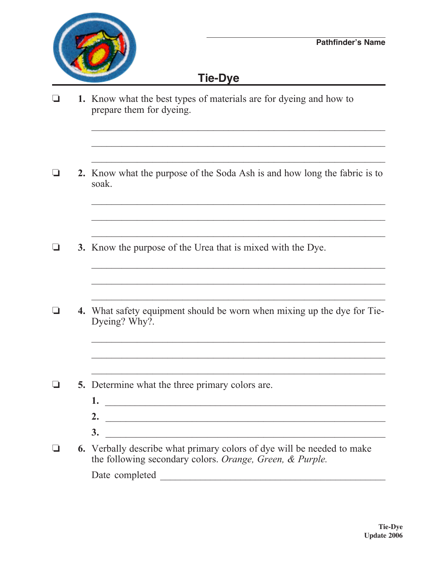

## **Tie-Dye**

o **1.** Know what the best types of materials are for dyeing and how to prepare them for dyeing.  $\mathcal{L}_\text{max} = \frac{1}{2} \sum_{i=1}^n \frac{1}{2} \sum_{i=1}^n \frac{1}{2} \sum_{i=1}^n \frac{1}{2} \sum_{i=1}^n \frac{1}{2} \sum_{i=1}^n \frac{1}{2} \sum_{i=1}^n \frac{1}{2} \sum_{i=1}^n \frac{1}{2} \sum_{i=1}^n \frac{1}{2} \sum_{i=1}^n \frac{1}{2} \sum_{i=1}^n \frac{1}{2} \sum_{i=1}^n \frac{1}{2} \sum_{i=1}^n \frac{1}{2} \sum_{i=1}^n$  $\mathcal{L}_\mathcal{L} = \{ \mathcal{L}_\mathcal{L} = \{ \mathcal{L}_\mathcal{L} = \{ \mathcal{L}_\mathcal{L} = \{ \mathcal{L}_\mathcal{L} = \{ \mathcal{L}_\mathcal{L} = \{ \mathcal{L}_\mathcal{L} = \{ \mathcal{L}_\mathcal{L} = \{ \mathcal{L}_\mathcal{L} = \{ \mathcal{L}_\mathcal{L} = \{ \mathcal{L}_\mathcal{L} = \{ \mathcal{L}_\mathcal{L} = \{ \mathcal{L}_\mathcal{L} = \{ \mathcal{L}_\mathcal{L} = \{ \mathcal{L}_\mathcal{$  $\mathcal{L}_\text{max} = \frac{1}{2} \sum_{i=1}^{n} \frac{1}{2} \sum_{i=1}^{n} \frac{1}{2} \sum_{i=1}^{n} \frac{1}{2} \sum_{i=1}^{n} \frac{1}{2} \sum_{i=1}^{n} \frac{1}{2} \sum_{i=1}^{n} \frac{1}{2} \sum_{i=1}^{n} \frac{1}{2} \sum_{i=1}^{n} \frac{1}{2} \sum_{i=1}^{n} \frac{1}{2} \sum_{i=1}^{n} \frac{1}{2} \sum_{i=1}^{n} \frac{1}{2} \sum_{i=1}^{n} \frac{1$ o **2.** Know what the purpose of the Soda Ash is and how long the fabric is to soak.  $\frac{1}{2}$  ,  $\frac{1}{2}$  ,  $\frac{1}{2}$  ,  $\frac{1}{2}$  ,  $\frac{1}{2}$  ,  $\frac{1}{2}$  ,  $\frac{1}{2}$  ,  $\frac{1}{2}$  ,  $\frac{1}{2}$  ,  $\frac{1}{2}$  ,  $\frac{1}{2}$  ,  $\frac{1}{2}$  ,  $\frac{1}{2}$  ,  $\frac{1}{2}$  ,  $\frac{1}{2}$  ,  $\frac{1}{2}$  ,  $\frac{1}{2}$  ,  $\frac{1}{2}$  ,  $\frac{1$  $\mathcal{L}_\text{max} = \mathcal{L}_\text{max} = \mathcal{L}_\text{max} = \mathcal{L}_\text{max} = \mathcal{L}_\text{max} = \mathcal{L}_\text{max} = \mathcal{L}_\text{max} = \mathcal{L}_\text{max} = \mathcal{L}_\text{max} = \mathcal{L}_\text{max} = \mathcal{L}_\text{max} = \mathcal{L}_\text{max} = \mathcal{L}_\text{max} = \mathcal{L}_\text{max} = \mathcal{L}_\text{max} = \mathcal{L}_\text{max} = \mathcal{L}_\text{max} = \mathcal{L}_\text{max} = \mathcal{$  $\mathcal{L}_\text{max} = \frac{1}{2} \sum_{i=1}^{n} \frac{1}{2} \sum_{i=1}^{n} \frac{1}{2} \sum_{i=1}^{n} \frac{1}{2} \sum_{i=1}^{n} \frac{1}{2} \sum_{i=1}^{n} \frac{1}{2} \sum_{i=1}^{n} \frac{1}{2} \sum_{i=1}^{n} \frac{1}{2} \sum_{i=1}^{n} \frac{1}{2} \sum_{i=1}^{n} \frac{1}{2} \sum_{i=1}^{n} \frac{1}{2} \sum_{i=1}^{n} \frac{1}{2} \sum_{i=1}^{n} \frac{1$ **3.** Know the purpose of the Urea that is mixed with the Dye.  $\overline{\phantom{a}}$  ,  $\overline{\phantom{a}}$  ,  $\overline{\phantom{a}}$  ,  $\overline{\phantom{a}}$  ,  $\overline{\phantom{a}}$  ,  $\overline{\phantom{a}}$  ,  $\overline{\phantom{a}}$  ,  $\overline{\phantom{a}}$  ,  $\overline{\phantom{a}}$  ,  $\overline{\phantom{a}}$  ,  $\overline{\phantom{a}}$  ,  $\overline{\phantom{a}}$  ,  $\overline{\phantom{a}}$  ,  $\overline{\phantom{a}}$  ,  $\overline{\phantom{a}}$  ,  $\overline{\phantom{a}}$  $\mathcal{L}_\text{max} = \frac{1}{2} \sum_{i=1}^n \frac{1}{2} \sum_{i=1}^n \frac{1}{2} \sum_{i=1}^n \frac{1}{2} \sum_{i=1}^n \frac{1}{2} \sum_{i=1}^n \frac{1}{2} \sum_{i=1}^n \frac{1}{2} \sum_{i=1}^n \frac{1}{2} \sum_{i=1}^n \frac{1}{2} \sum_{i=1}^n \frac{1}{2} \sum_{i=1}^n \frac{1}{2} \sum_{i=1}^n \frac{1}{2} \sum_{i=1}^n \frac{1}{2} \sum_{i=1}^n$ o **4.** What safety equipment should be worn when mixing up the dye for Tie-Dyeing? Why?.  $\mathcal{L}_\text{max} = \frac{1}{2} \sum_{i=1}^{n} \frac{1}{2} \sum_{i=1}^{n} \frac{1}{2} \sum_{i=1}^{n} \frac{1}{2} \sum_{i=1}^{n} \frac{1}{2} \sum_{i=1}^{n} \frac{1}{2} \sum_{i=1}^{n} \frac{1}{2} \sum_{i=1}^{n} \frac{1}{2} \sum_{i=1}^{n} \frac{1}{2} \sum_{i=1}^{n} \frac{1}{2} \sum_{i=1}^{n} \frac{1}{2} \sum_{i=1}^{n} \frac{1}{2} \sum_{i=1}^{n} \frac{1$  $\mathcal{L}_\mathcal{L}$  , and the set of the set of the set of the set of the set of the set of the set of the set of the set of the set of the set of the set of the set of the set of the set of the set of the set of the set of th  $\frac{1}{2}$  ,  $\frac{1}{2}$  ,  $\frac{1}{2}$  ,  $\frac{1}{2}$  ,  $\frac{1}{2}$  ,  $\frac{1}{2}$  ,  $\frac{1}{2}$  ,  $\frac{1}{2}$  ,  $\frac{1}{2}$  ,  $\frac{1}{2}$  ,  $\frac{1}{2}$  ,  $\frac{1}{2}$  ,  $\frac{1}{2}$  ,  $\frac{1}{2}$  ,  $\frac{1}{2}$  ,  $\frac{1}{2}$  ,  $\frac{1}{2}$  ,  $\frac{1}{2}$  ,  $\frac{1$  $\Box$  5. Determine what the three primary colors are.  **1.** \_\_\_\_\_\_\_\_\_\_\_\_\_\_\_\_\_\_\_\_\_\_\_\_\_\_\_\_\_\_\_\_\_\_\_\_\_\_\_\_\_\_\_\_\_\_\_\_\_\_\_\_\_\_\_\_  **2.** \_\_\_\_\_\_\_\_\_\_\_\_\_\_\_\_\_\_\_\_\_\_\_\_\_\_\_\_\_\_\_\_\_\_\_\_\_\_\_\_\_\_\_\_\_\_\_\_\_\_\_\_\_\_\_  **3.** \_\_\_\_\_\_\_\_\_\_\_\_\_\_\_\_\_\_\_\_\_\_\_\_\_\_\_\_\_\_\_\_\_\_\_\_\_\_\_\_\_\_\_\_\_\_\_\_\_\_\_\_\_\_\_ **6.** Verbally describe what primary colors of dye will be needed to make the following secondary colors. *Orange, Green, & Purple.* Date completed \_\_\_\_\_\_\_\_\_\_\_\_\_\_\_\_\_\_\_\_\_\_\_\_\_\_\_\_\_\_\_\_\_\_\_\_\_\_\_\_\_\_\_\_\_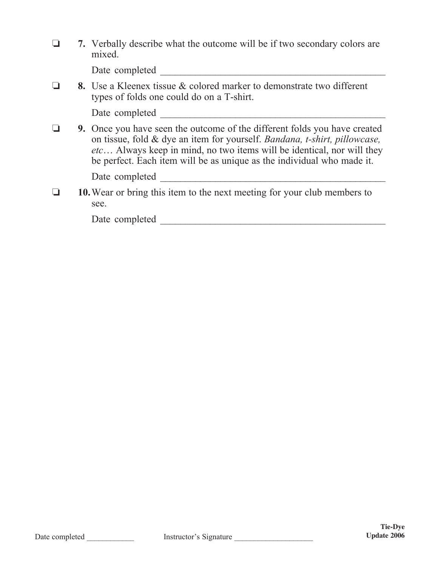|  | 7. Verbally describe what the outcome will be if two secondary colors are<br>mixed.                                                                                                                                                                                                                               |  |  |  |  |
|--|-------------------------------------------------------------------------------------------------------------------------------------------------------------------------------------------------------------------------------------------------------------------------------------------------------------------|--|--|--|--|
|  | Date completed                                                                                                                                                                                                                                                                                                    |  |  |  |  |
|  | <b>8.</b> Use a Kleenex tissue & colored marker to demonstrate two different<br>types of folds one could do on a T-shirt.                                                                                                                                                                                         |  |  |  |  |
|  | Date completed                                                                                                                                                                                                                                                                                                    |  |  |  |  |
|  | <b>9.</b> Once you have seen the outcome of the different folds you have created<br>on tissue, fold & dye an item for yourself. Bandana, t-shirt, pillowcase,<br>etc Always keep in mind, no two items will be identical, nor will they<br>be perfect. Each item will be as unique as the individual who made it. |  |  |  |  |
|  | Date completed                                                                                                                                                                                                                                                                                                    |  |  |  |  |
|  | 10. Wear or bring this item to the next meeting for your club members to<br>see.                                                                                                                                                                                                                                  |  |  |  |  |
|  | Date completed                                                                                                                                                                                                                                                                                                    |  |  |  |  |
|  |                                                                                                                                                                                                                                                                                                                   |  |  |  |  |